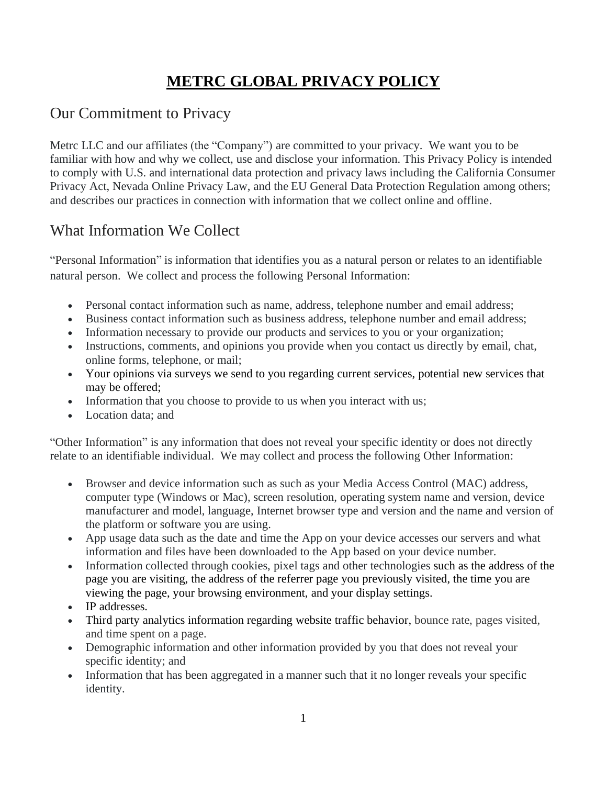# **METRC GLOBAL PRIVACY POLICY**

## Our Commitment to Privacy

Metrc LLC and our affiliates (the "Company") are committed to your privacy. We want you to be familiar with how and why we collect, use and disclose your information. This Privacy Policy is intended to comply with U.S. and international data protection and privacy laws including the California Consumer Privacy Act, Nevada Online Privacy Law, and the EU General Data Protection Regulation among others; and describes our practices in connection with information that we collect online and offline.

## What Information We Collect

"Personal Information" is information that identifies you as a natural person or relates to an identifiable natural person. We collect and process the following Personal Information:

- Personal contact information such as name, address, telephone number and email address;
- Business contact information such as business address, telephone number and email address;
- Information necessary to provide our products and services to you or your organization;
- Instructions, comments, and opinions you provide when you contact us directly by email, chat, online forms, telephone, or mail;
- Your opinions via surveys we send to you regarding current services, potential new services that may be offered;
- Information that you choose to provide to us when you interact with us;
- Location data; and

"Other Information" is any information that does not reveal your specific identity or does not directly relate to an identifiable individual. We may collect and process the following Other Information:

- Browser and device information such as such as your Media Access Control (MAC) address, computer type (Windows or Mac), screen resolution, operating system name and version, device manufacturer and model, language, Internet browser type and version and the name and version of the platform or software you are using.
- App usage data such as the date and time the App on your device accesses our servers and what information and files have been downloaded to the App based on your device number.
- Information collected through cookies, pixel tags and other technologies such as the address of the page you are visiting, the address of the referrer page you previously visited, the time you are viewing the page, your browsing environment, and your display settings.
- IP addresses.
- Third party analytics information regarding website traffic behavior, bounce rate, pages visited, and time spent on a page.
- Demographic information and other information provided by you that does not reveal your specific identity; and
- Information that has been aggregated in a manner such that it no longer reveals your specific identity.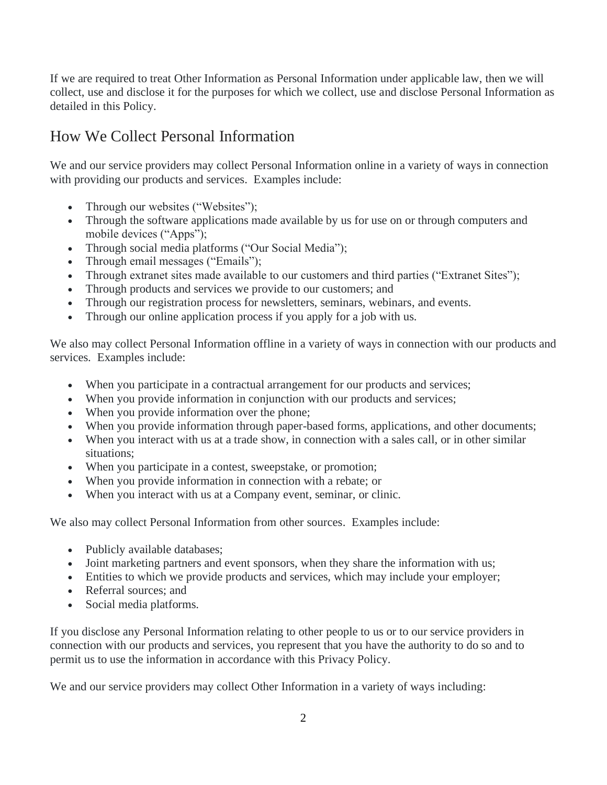If we are required to treat Other Information as Personal Information under applicable law, then we will collect, use and disclose it for the purposes for which we collect, use and disclose Personal Information as detailed in this Policy.

# How We Collect Personal Information

We and our service providers may collect Personal Information online in a variety of ways in connection with providing our products and services. Examples include:

- Through our websites ("Websites");
- Through the software applications made available by us for use on or through computers and mobile devices ("Apps");
- Through social media platforms ("Our Social Media");
- Through email messages ("Emails");
- Through extranet sites made available to our customers and third parties ("Extranet Sites");
- Through products and services we provide to our customers; and
- Through our registration process for newsletters, seminars, webinars, and events.
- Through our online application process if you apply for a job with us.

We also may collect Personal Information offline in a variety of ways in connection with our products and services. Examples include:

- When you participate in a contractual arrangement for our products and services;
- When you provide information in conjunction with our products and services;
- When you provide information over the phone;
- When you provide information through paper-based forms, applications, and other documents;
- When you interact with us at a trade show, in connection with a sales call, or in other similar situations;
- When you participate in a contest, sweepstake, or promotion;
- When you provide information in connection with a rebate; or
- When you interact with us at a Company event, seminar, or clinic.

We also may collect Personal Information from other sources. Examples include:

- Publicly available databases;
- Joint marketing partners and event sponsors, when they share the information with us;
- Entities to which we provide products and services, which may include your employer;
- Referral sources; and
- Social media platforms.

If you disclose any Personal Information relating to other people to us or to our service providers in connection with our products and services, you represent that you have the authority to do so and to permit us to use the information in accordance with this Privacy Policy.

We and our service providers may collect Other Information in a variety of ways including: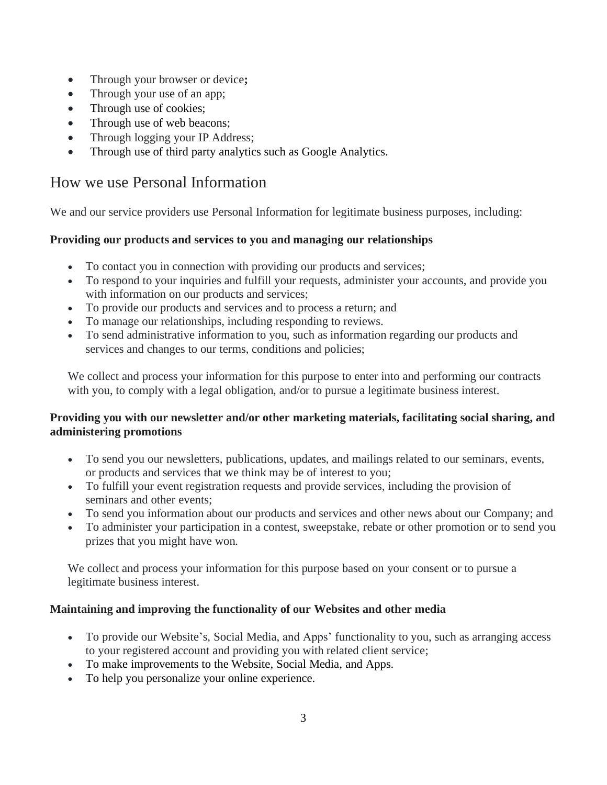- Through your browser or device**;**
- Through your use of an app;
- Through use of cookies;
- Through use of web beacons;
- Through logging your IP Address;
- Through use of third party analytics such as Google Analytics.

### How we use Personal Information

We and our service providers use Personal Information for legitimate business purposes, including:

#### **Providing our products and services to you and managing our relationships**

- To contact you in connection with providing our products and services;
- To respond to your inquiries and fulfill your requests, administer your accounts, and provide you with information on our products and services;
- To provide our products and services and to process a return; and
- To manage our relationships, including responding to reviews.
- To send administrative information to you, such as information regarding our products and services and changes to our terms, conditions and policies;

We collect and process your information for this purpose to enter into and performing our contracts with you, to comply with a legal obligation, and/or to pursue a legitimate business interest.

#### **Providing you with our newsletter and/or other marketing materials, facilitating social sharing, and administering promotions**

- To send you our newsletters, publications, updates, and mailings related to our seminars, events, or products and services that we think may be of interest to you;
- To fulfill your event registration requests and provide services, including the provision of seminars and other events;
- To send you information about our products and services and other news about our Company; and
- To administer your participation in a contest, sweepstake, rebate or other promotion or to send you prizes that you might have won.

We collect and process your information for this purpose based on your consent or to pursue a legitimate business interest.

#### **Maintaining and improving the functionality of our Websites and other media**

- To provide our Website's, Social Media, and Apps' functionality to you, such as arranging access to your registered account and providing you with related client service;
- To make improvements to the Website, Social Media, and Apps.
- To help you personalize your online experience.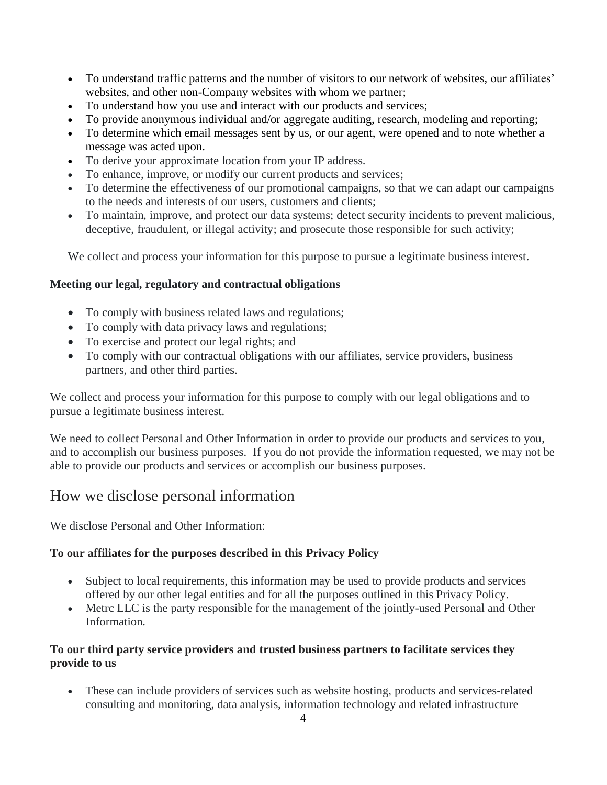- To understand traffic patterns and the number of visitors to our network of websites, our affiliates' websites, and other non-Company websites with whom we partner;
- To understand how you use and interact with our products and services;
- To provide anonymous individual and/or aggregate auditing, research, modeling and reporting;
- To determine which email messages sent by us, or our agent, were opened and to note whether a message was acted upon.
- To derive your approximate location from your IP address.
- To enhance, improve, or modify our current products and services;
- To determine the effectiveness of our promotional campaigns, so that we can adapt our campaigns to the needs and interests of our users, customers and clients;
- To maintain, improve, and protect our data systems; detect security incidents to prevent malicious, deceptive, fraudulent, or illegal activity; and prosecute those responsible for such activity;

We collect and process your information for this purpose to pursue a legitimate business interest.

#### **Meeting our legal, regulatory and contractual obligations**

- To comply with business related laws and regulations;
- To comply with data privacy laws and regulations;
- To exercise and protect our legal rights; and
- To comply with our contractual obligations with our affiliates, service providers, business partners, and other third parties.

We collect and process your information for this purpose to comply with our legal obligations and to pursue a legitimate business interest.

We need to collect Personal and Other Information in order to provide our products and services to you, and to accomplish our business purposes. If you do not provide the information requested, we may not be able to provide our products and services or accomplish our business purposes.

### How we disclose personal information

We disclose Personal and Other Information:

#### **To our affiliates for the purposes described in this Privacy Policy**

- Subject to local requirements, this information may be used to provide products and services offered by our other legal entities and for all the purposes outlined in this Privacy Policy.
- Metrc LLC is the party responsible for the management of the jointly-used Personal and Other Information.

#### **To our third party service providers and trusted business partners to facilitate services they provide to us**

• These can include providers of services such as website hosting, products and services-related consulting and monitoring, data analysis, information technology and related infrastructure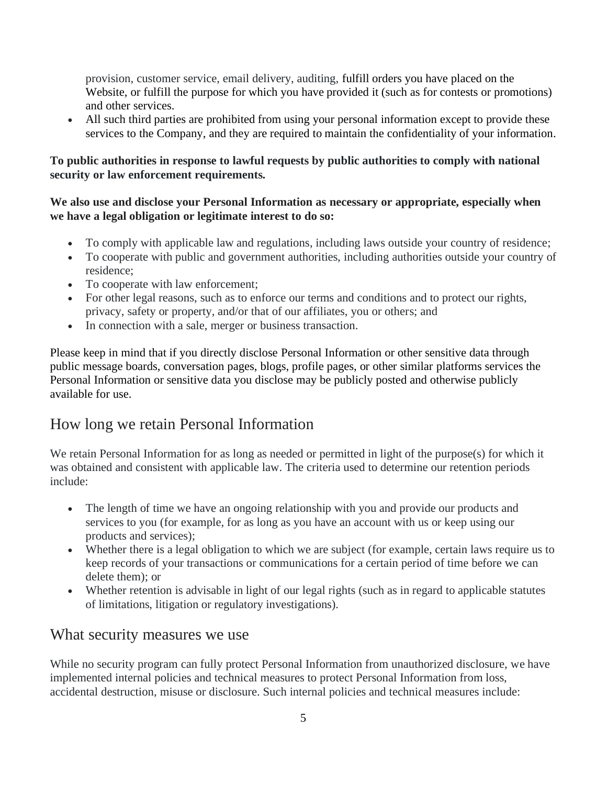provision, customer service, email delivery, auditing, fulfill orders you have placed on the Website, or fulfill the purpose for which you have provided it (such as for contests or promotions) and other services.

• All such third parties are prohibited from using your personal information except to provide these services to the Company, and they are required to maintain the confidentiality of your information.

#### **To public authorities in response to lawful requests by public authorities to comply with national security or law enforcement requirements.**

#### **We also use and disclose your Personal Information as necessary or appropriate, especially when we have a legal obligation or legitimate interest to do so:**

- To comply with applicable law and regulations, including laws outside your country of residence;
- To cooperate with public and government authorities, including authorities outside your country of residence;
- To cooperate with law enforcement;
- For other legal reasons, such as to enforce our terms and conditions and to protect our rights, privacy, safety or property, and/or that of our affiliates, you or others; and
- In connection with a sale, merger or business transaction.

Please keep in mind that if you directly disclose Personal Information or other sensitive data through public message boards, conversation pages, blogs, profile pages, or other similar platforms services the Personal Information or sensitive data you disclose may be publicly posted and otherwise publicly available for use.

## How long we retain Personal Information

We retain Personal Information for as long as needed or permitted in light of the purpose(s) for which it was obtained and consistent with applicable law. The criteria used to determine our retention periods include:

- The length of time we have an ongoing relationship with you and provide our products and services to you (for example, for as long as you have an account with us or keep using our products and services);
- Whether there is a legal obligation to which we are subject (for example, certain laws require us to keep records of your transactions or communications for a certain period of time before we can delete them); or
- Whether retention is advisable in light of our legal rights (such as in regard to applicable statutes of limitations, litigation or regulatory investigations).

### What security measures we use

While no security program can fully protect Personal Information from unauthorized disclosure, we have implemented internal policies and technical measures to protect Personal Information from loss, accidental destruction, misuse or disclosure. Such internal policies and technical measures include: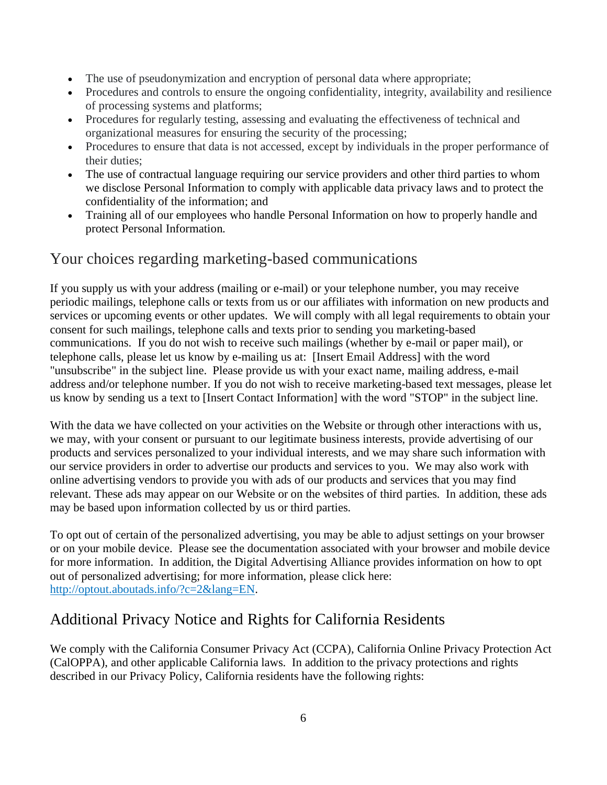- The use of pseudonymization and encryption of personal data where appropriate;
- Procedures and controls to ensure the ongoing confidentiality, integrity, availability and resilience of processing systems and platforms;
- Procedures for regularly testing, assessing and evaluating the effectiveness of technical and organizational measures for ensuring the security of the processing;
- Procedures to ensure that data is not accessed, except by individuals in the proper performance of their duties;
- The use of contractual language requiring our service providers and other third parties to whom we disclose Personal Information to comply with applicable data privacy laws and to protect the confidentiality of the information; and
- Training all of our employees who handle Personal Information on how to properly handle and protect Personal Information.

### Your choices regarding marketing-based communications

If you supply us with your address (mailing or e-mail) or your telephone number, you may receive periodic mailings, telephone calls or texts from us or our affiliates with information on new products and services or upcoming events or other updates. We will comply with all legal requirements to obtain your consent for such mailings, telephone calls and texts prior to sending you marketing-based communications. If you do not wish to receive such mailings (whether by e-mail or paper mail), or telephone calls, please let us know by e-mailing us at: [Insert Email Address] with the word "unsubscribe" in the subject line. Please provide us with your exact name, mailing address, e-mail address and/or telephone number. If you do not wish to receive marketing-based text messages, please let us know by sending us a text to [Insert Contact Information] with the word "STOP" in the subject line.

With the data we have collected on your activities on the Website or through other interactions with us, we may, with your consent or pursuant to our legitimate business interests, provide advertising of our products and services personalized to your individual interests, and we may share such information with our service providers in order to advertise our products and services to you. We may also work with online advertising vendors to provide you with ads of our products and services that you may find relevant. These ads may appear on our Website or on the websites of third parties. In addition, these ads may be based upon information collected by us or third parties.

To opt out of certain of the personalized advertising, you may be able to adjust settings on your browser or on your mobile device. Please see the documentation associated with your browser and mobile device for more information. In addition, the Digital Advertising Alliance provides information on how to opt out of personalized advertising; for more information, please click here: [http://optout.aboutads.info/?c=2&lang=EN.](http://optout.aboutads.info/?c=2&lang=EN)

## Additional Privacy Notice and Rights for California Residents

We comply with the California Consumer Privacy Act (CCPA), California Online Privacy Protection Act (CalOPPA), and other applicable California laws. In addition to the privacy protections and rights described in our Privacy Policy, California residents have the following rights: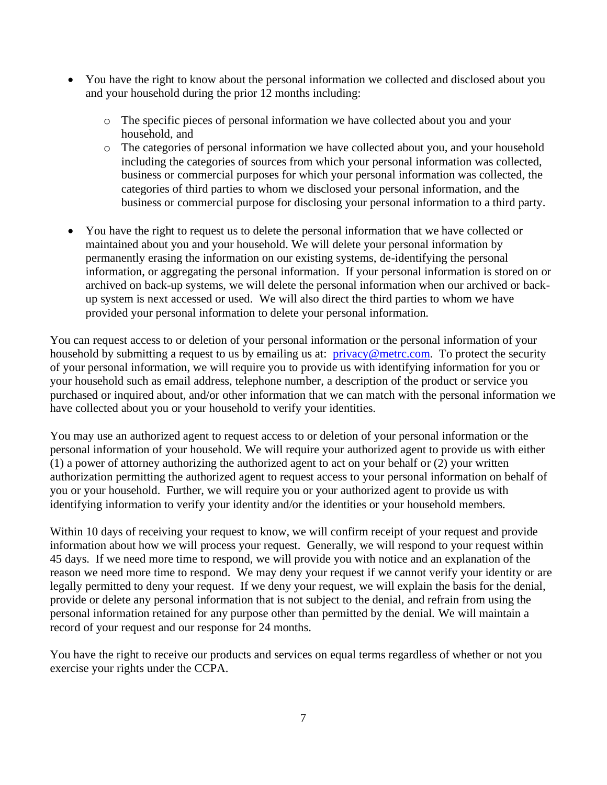- You have the right to know about the personal information we collected and disclosed about you and your household during the prior 12 months including:
	- o The specific pieces of personal information we have collected about you and your household, and
	- o The categories of personal information we have collected about you, and your household including the categories of sources from which your personal information was collected, business or commercial purposes for which your personal information was collected, the categories of third parties to whom we disclosed your personal information, and the business or commercial purpose for disclosing your personal information to a third party.
- You have the right to request us to delete the personal information that we have collected or maintained about you and your household. We will delete your personal information by permanently erasing the information on our existing systems, de-identifying the personal information, or aggregating the personal information. If your personal information is stored on or archived on back-up systems, we will delete the personal information when our archived or backup system is next accessed or used. We will also direct the third parties to whom we have provided your personal information to delete your personal information.

You can request access to or deletion of your personal information or the personal information of your household by submitting a request to us by emailing us at: [privacy@metrc.com.](mailto:privacy@metrc.com) To protect the security of your personal information, we will require you to provide us with identifying information for you or your household such as email address, telephone number, a description of the product or service you purchased or inquired about, and/or other information that we can match with the personal information we have collected about you or your household to verify your identities.

You may use an authorized agent to request access to or deletion of your personal information or the personal information of your household. We will require your authorized agent to provide us with either (1) a power of attorney authorizing the authorized agent to act on your behalf or (2) your written authorization permitting the authorized agent to request access to your personal information on behalf of you or your household. Further, we will require you or your authorized agent to provide us with identifying information to verify your identity and/or the identities or your household members.

Within 10 days of receiving your request to know, we will confirm receipt of your request and provide information about how we will process your request. Generally, we will respond to your request within 45 days. If we need more time to respond, we will provide you with notice and an explanation of the reason we need more time to respond. We may deny your request if we cannot verify your identity or are legally permitted to deny your request. If we deny your request, we will explain the basis for the denial, provide or delete any personal information that is not subject to the denial, and refrain from using the personal information retained for any purpose other than permitted by the denial. We will maintain a record of your request and our response for 24 months.

You have the right to receive our products and services on equal terms regardless of whether or not you exercise your rights under the CCPA.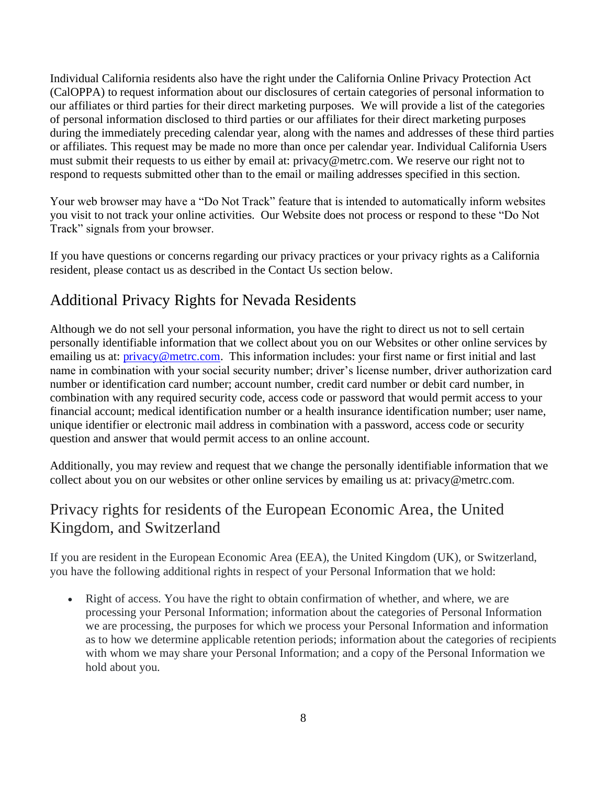Individual California residents also have the right under the California Online Privacy Protection Act (CalOPPA) to request information about our disclosures of certain categories of personal information to our affiliates or third parties for their direct marketing purposes. We will provide a list of the categories of personal information disclosed to third parties or our affiliates for their direct marketing purposes during the immediately preceding calendar year, along with the names and addresses of these third parties or affiliates. This request may be made no more than once per calendar year. Individual California Users must submit their requests to us either by email at: privacy@metrc.com. We reserve our right not to respond to requests submitted other than to the email or mailing addresses specified in this section.

Your web browser may have a "Do Not Track" feature that is intended to automatically inform websites you visit to not track your online activities. Our Website does not process or respond to these "Do Not Track" signals from your browser.

If you have questions or concerns regarding our privacy practices or your privacy rights as a California resident, please contact us as described in the Contact Us section below.

## Additional Privacy Rights for Nevada Residents

Although we do not sell your personal information, you have the right to direct us not to sell certain personally identifiable information that we collect about you on our Websites or other online services by emailing us at: *privacy@metrc.com*. This information includes: your first name or first initial and last name in combination with your social security number; driver's license number, driver authorization card number or identification card number; account number, credit card number or debit card number, in combination with any required security code, access code or password that would permit access to your financial account; medical identification number or a health insurance identification number; user name, unique identifier or electronic mail address in combination with a password, access code or security question and answer that would permit access to an online account.

Additionally, you may review and request that we change the personally identifiable information that we collect about you on our websites or other online services by emailing us at: privacy@metrc.com.

## Privacy rights for residents of the European Economic Area, the United Kingdom, and Switzerland

If you are resident in the European Economic Area (EEA), the United Kingdom (UK), or Switzerland, you have the following additional rights in respect of your Personal Information that we hold:

• Right of access. You have the right to obtain confirmation of whether, and where, we are processing your Personal Information; information about the categories of Personal Information we are processing, the purposes for which we process your Personal Information and information as to how we determine applicable retention periods; information about the categories of recipients with whom we may share your Personal Information; and a copy of the Personal Information we hold about you.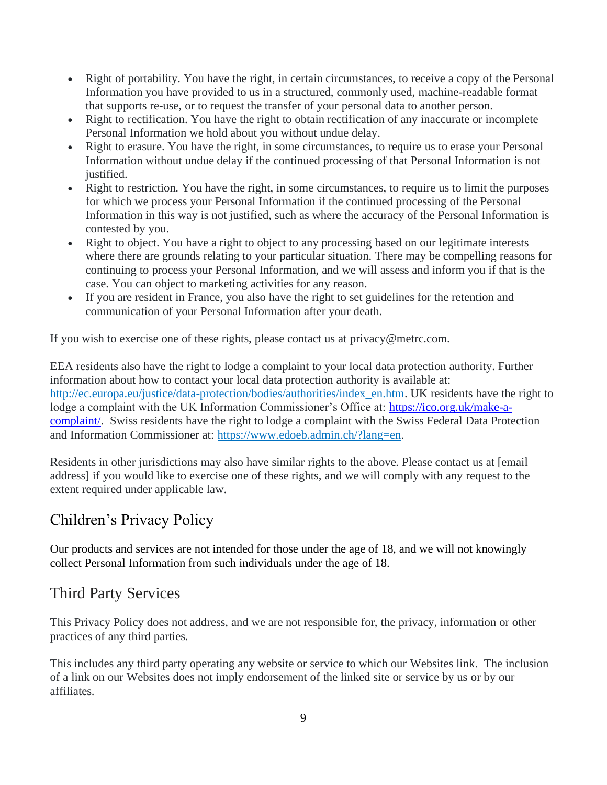- Right of portability. You have the right, in certain circumstances, to receive a copy of the Personal Information you have provided to us in a structured, commonly used, machine-readable format that supports re-use, or to request the transfer of your personal data to another person.
- Right to rectification. You have the right to obtain rectification of any inaccurate or incomplete Personal Information we hold about you without undue delay.
- Right to erasure. You have the right, in some circumstances, to require us to erase your Personal Information without undue delay if the continued processing of that Personal Information is not justified.
- Right to restriction. You have the right, in some circumstances, to require us to limit the purposes for which we process your Personal Information if the continued processing of the Personal Information in this way is not justified, such as where the accuracy of the Personal Information is contested by you.
- Right to object. You have a right to object to any processing based on our legitimate interests where there are grounds relating to your particular situation. There may be compelling reasons for continuing to process your Personal Information, and we will assess and inform you if that is the case. You can object to marketing activities for any reason.
- If you are resident in France, you also have the right to set guidelines for the retention and communication of your Personal Information after your death.

If you wish to exercise one of these rights, please contact us at privacy@metrc.com.

EEA residents also have the right to lodge a complaint to your local data protection authority. Further information about how to contact your local data protection authority is available at: [http://ec.europa.eu/justice/data-protection/bodies/authorities/index\\_en.htm.](http://ec.europa.eu/justice/data-protection/bodies/authorities/index_en.htm) UK residents have the right to lodge a complaint with the UK Information Commissioner's Office at: [https://ico.org.uk/make-a](https://ico.org.uk/make-a-complaint/)[complaint/.](https://ico.org.uk/make-a-complaint/) Swiss residents have the right to lodge a complaint with the Swiss Federal Data Protection and Information Commissioner at: [https://www.edoeb.admin.ch/?lang=en.](https://www.edoeb.admin.ch/?lang=en)

Residents in other jurisdictions may also have similar rights to the above. Please contact us at [email address] if you would like to exercise one of these rights, and we will comply with any request to the extent required under applicable law.

# Children's Privacy Policy

Our products and services are not intended for those under the age of 18, and we will not knowingly collect Personal Information from such individuals under the age of 18.

# Third Party Services

This Privacy Policy does not address, and we are not responsible for, the privacy, information or other practices of any third parties.

This includes any third party operating any website or service to which our Websites link. The inclusion of a link on our Websites does not imply endorsement of the linked site or service by us or by our affiliates.